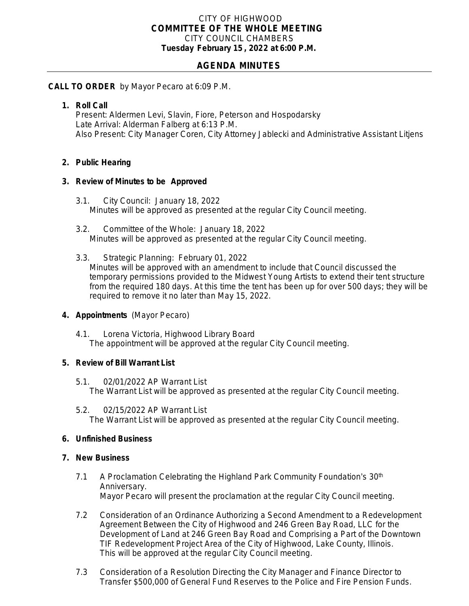### CITY OF HIGHWOOD *COMMITTEE OF THE WHOLE MEETING* CITY COUNCIL CHAMBERS **Tuesday February 15 , 2022 at 6:00 P.M.**

# **AGENDA MINUTES**

### **CALL TO ORDER** by Mayor Pecaro at 6:09 P.M.

## **1. Roll Call**

Present: Aldermen Levi, Slavin, Fiore, Peterson and Hospodarsky Late Arrival: Alderman Falberg at 6:13 P.M. Also Present: City Manager Coren, City Attorney Jablecki and Administrative Assistant Litjens

## **2. Public Hearing**

#### **3. Review of Minutes to be Approved**

- 3.1. City Council: January 18, 2022 Minutes will be approved as presented at the regular City Council meeting.
- 3.2. Committee of the Whole: January 18, 2022 Minutes will be approved as presented at the regular City Council meeting.
- 3.3. Strategic Planning: February 01, 2022 Minutes will be approved with an amendment to include that Council discussed the temporary permissions provided to the Midwest Young Artists to extend their tent structure from the required 180 days. At this time the tent has been up for over 500 days; they will be required to remove it no later than May 15, 2022.

## **4. Appointments** (Mayor Pecaro)

4.1. Lorena Victoria, Highwood Library Board The appointment will be approved at the regular City Council meeting.

#### **5. Review of Bill Warrant List**

- 5.1. 02/01/2022 AP Warrant List The Warrant List will be approved as presented at the regular City Council meeting.
- 5.2. 02/15/2022 AP Warrant List The Warrant List will be approved as presented at the regular City Council meeting.

## **6. Unfinished Business**

#### **7. New Business**

- 7.1 A Proclamation Celebrating the Highland Park Community Foundation's 30<sup>th</sup> Anniversary. Mayor Pecaro will present the proclamation at the regular City Council meeting.
- 7.2 Consideration of an Ordinance Authorizing a Second Amendment to a Redevelopment Agreement Between the City of Highwood and 246 Green Bay Road, LLC for the Development of Land at 246 Green Bay Road and Comprising a Part of the Downtown TIF Redevelopment Project Area of the City of Highwood, Lake County, Illinois. This will be approved at the regular City Council meeting.
- 7.3 Consideration of a Resolution Directing the City Manager and Finance Director to Transfer \$500,000 of General Fund Reserves to the Police and Fire Pension Funds.